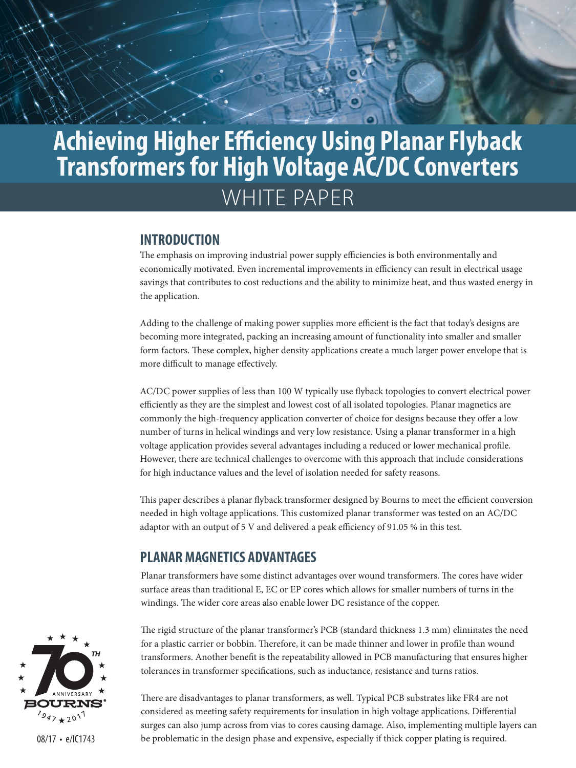# WHITE PAPER **Achieving Higher Efficiency Using Planar Flyback Transformers for High Voltage AC/DC Converters**

#### **INTRODUCTION**

The emphasis on improving industrial power supply efficiencies is both environmentally and economically motivated. Even incremental improvements in efficiency can result in electrical usage savings that contributes to cost reductions and the ability to minimize heat, and thus wasted energy in the application.

Adding to the challenge of making power supplies more efficient is the fact that today's designs are becoming more integrated, packing an increasing amount of functionality into smaller and smaller form factors. These complex, higher density applications create a much larger power envelope that is more difficult to manage effectively.

AC/DC power supplies of less than 100 W typically use flyback topologies to convert electrical power efficiently as they are the simplest and lowest cost of all isolated topologies. Planar magnetics are commonly the high-frequency application converter of choice for designs because they offer a low number of turns in helical windings and very low resistance. Using a planar transformer in a high voltage application provides several advantages including a reduced or lower mechanical profile. However, there are technical challenges to overcome with this approach that include considerations for high inductance values and the level of isolation needed for safety reasons.

This paper describes a planar flyback transformer designed by Bourns to meet the efficient conversion needed in high voltage applications. This customized planar transformer was tested on an AC/DC adaptor with an output of 5 V and delivered a peak efficiency of 91.05 % in this test.

## **PLANAR MAGNETICS ADVANTAGES**

Planar transformers have some distinct advantages over wound transformers. The cores have wider surface areas than traditional E, EC or EP cores which allows for smaller numbers of turns in the windings. The wider core areas also enable lower DC resistance of the copper.



There are disadvantages to planar transformers, as well. Typical PCB substrates like FR4 are not considered as meeting safety requirements for insulation in high voltage applications. Differential surges can also jump across from vias to cores causing damage. Also, implementing multiple layers can be problematic in the design phase and expensive, especially if thick copper plating is required.

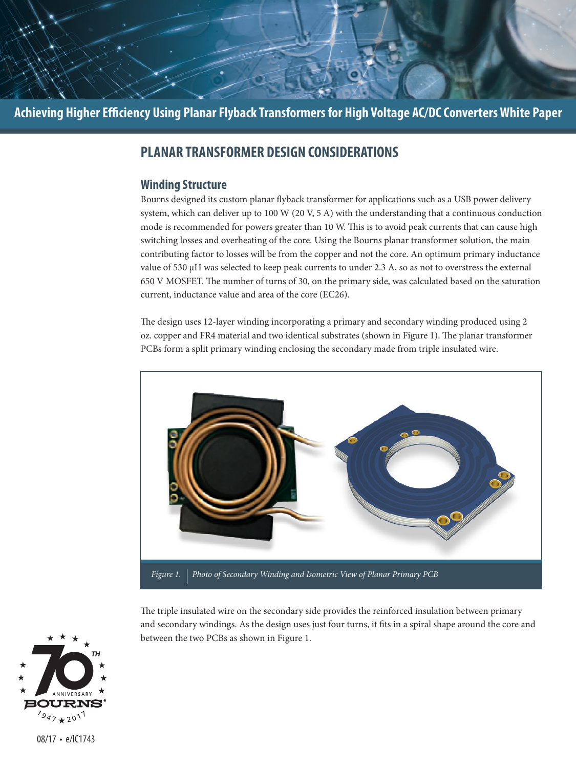

# **PLANAR TRANSFORMER DESIGN CONSIDERATIONS**

#### **Winding Structure**

Bourns designed its custom planar flyback transformer for applications such as a USB power delivery system, which can deliver up to 100 W (20 V, 5 A) with the understanding that a continuous conduction mode is recommended for powers greater than 10 W. This is to avoid peak currents that can cause high switching losses and overheating of the core. Using the Bourns planar transformer solution, the main contributing factor to losses will be from the copper and not the core. An optimum primary inductance value of 530 µH was selected to keep peak currents to under 2.3 A, so as not to overstress the external 650 V MOSFET. The number of turns of 30, on the primary side, was calculated based on the saturation current, inductance value and area of the core (EC26).

The design uses 12-layer winding incorporating a primary and secondary winding produced using 2 oz. copper and FR4 material and two identical substrates (shown in Figure 1). The planar transformer PCBs form a split primary winding enclosing the secondary made from triple insulated wire.



The triple insulated wire on the secondary side provides the reinforced insulation between primary and secondary windings. As the design uses just four turns, it fits in a spiral shape around the core and between the two PCBs as shown in Figure 1.

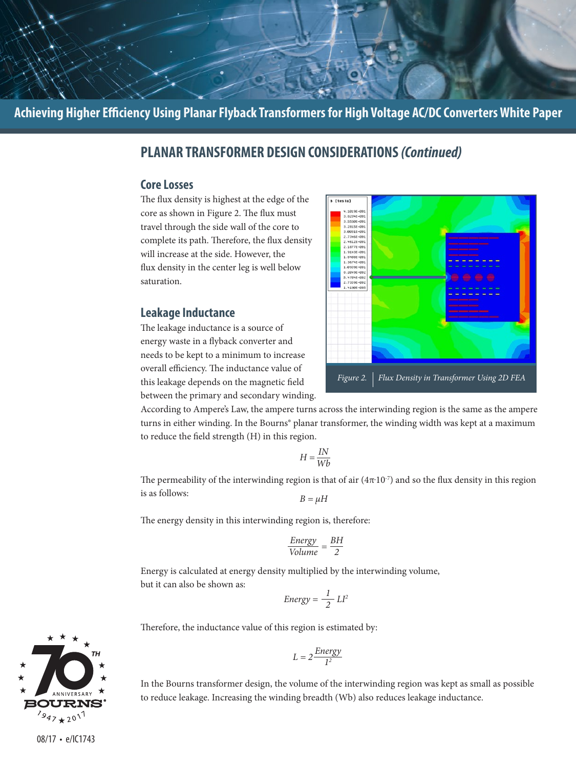## **PLANAR TRANSFORMER DESIGN CONSIDERATIONS** *(Continued)*

#### **Core Losses**

The flux density is highest at the edge of the core as shown in Figure 2. The flux must travel through the side wall of the core to complete its path. Therefore, the flux density will increase at the side. However, the flux density in the center leg is well below saturation.

#### **Leakage Inductance**

The leakage inductance is a source of energy waste in a flyback converter and needs to be kept to a minimum to increase overall efficiency. The inductance value of this leakage depends on the magnetic field between the primary and secondary winding.



According to Ampere's Law, the ampere turns across the interwinding region is the same as the ampere turns in either winding. In the Bourns® planar transformer, the winding width was kept at a maximum to reduce the field strength (H) in this region.

$$
H = \frac{IN}{Wb}
$$

The permeability of the interwinding region is that of air  $(4\pi \cdot 10^{-7})$  and so the flux density in this region is as follows:  $B = \mu H$ 

The energy density in this interwinding region is, therefore:

$$
\frac{Energy}{Volume} = \frac{BH}{2}
$$

Energy is calculated at energy density multiplied by the interwinding volume, but it can also be shown as:

$$
Energy = \frac{1}{2} L l^2
$$

Therefore, the inductance value of this region is estimated by:

$$
L = 2 \frac{Energy}{I^2}
$$

In the Bourns transformer design, the volume of the interwinding region was kept as small as possible to reduce leakage. Increasing the winding breadth (Wb) also reduces leakage inductance.

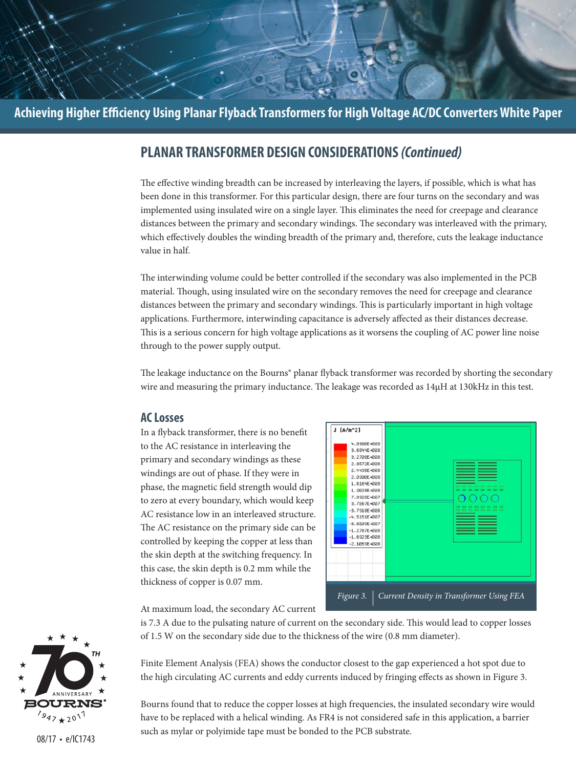## **PLANAR TRANSFORMER DESIGN CONSIDERATIONS** *(Continued)*

The effective winding breadth can be increased by interleaving the layers, if possible, which is what has been done in this transformer. For this particular design, there are four turns on the secondary and was implemented using insulated wire on a single layer. This eliminates the need for creepage and clearance distances between the primary and secondary windings. The secondary was interleaved with the primary, which effectively doubles the winding breadth of the primary and, therefore, cuts the leakage inductance value in half.

The interwinding volume could be better controlled if the secondary was also implemented in the PCB material. Though, using insulated wire on the secondary removes the need for creepage and clearance distances between the primary and secondary windings. This is particularly important in high voltage applications. Furthermore, interwinding capacitance is adversely affected as their distances decrease. This is a serious concern for high voltage applications as it worsens the coupling of AC power line noise through to the power supply output.

The leakage inductance on the Bourns® planar flyback transformer was recorded by shorting the secondary wire and measuring the primary inductance. The leakage was recorded as 14µH at 130kHz in this test.

#### **AC Losses**

In a flyback transformer, there is no benefit to the AC resistance in interleaving the primary and secondary windings as these windings are out of phase. If they were in phase, the magnetic field strength would dip to zero at every boundary, which would keep AC resistance low in an interleaved structure. The AC resistance on the primary side can be controlled by keeping the copper at less than the skin depth at the switching frequency. In this case, the skin depth is 0.2 mm while the thickness of copper is 0.07 mm.



At maximum load, the secondary AC current

is 7.3 A due to the pulsating nature of current on the secondary side. This would lead to copper losses of 1.5 W on the secondary side due to the thickness of the wire (0.8 mm diameter).

Finite Element Analysis (FEA) shows the conductor closest to the gap experienced a hot spot due to the high circulating AC currents and eddy currents induced by fringing effects as shown in Figure 3.

Bourns found that to reduce the copper losses at high frequencies, the insulated secondary wire would have to be replaced with a helical winding. As FR4 is not considered safe in this application, a barrier such as mylar or polyimide tape must be bonded to the PCB substrate.

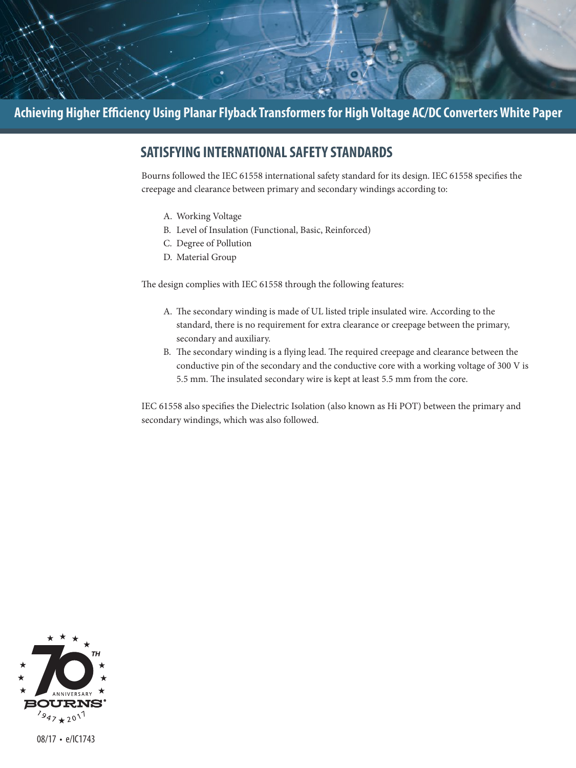

# **SATISFYING INTERNATIONAL SAFETY STANDARDS**

Bourns followed the IEC 61558 international safety standard for its design. IEC 61558 specifies the creepage and clearance between primary and secondary windings according to:

- A. Working Voltage
- B. Level of Insulation (Functional, Basic, Reinforced)
- C. Degree of Pollution
- D. Material Group

The design complies with IEC 61558 through the following features:

- A. The secondary winding is made of UL listed triple insulated wire. According to the standard, there is no requirement for extra clearance or creepage between the primary, secondary and auxiliary.
- B. The secondary winding is a flying lead. The required creepage and clearance between the conductive pin of the secondary and the conductive core with a working voltage of 300 V is 5.5 mm. The insulated secondary wire is kept at least 5.5 mm from the core.

IEC 61558 also specifies the Dielectric Isolation (also known as Hi POT) between the primary and secondary windings, which was also followed.

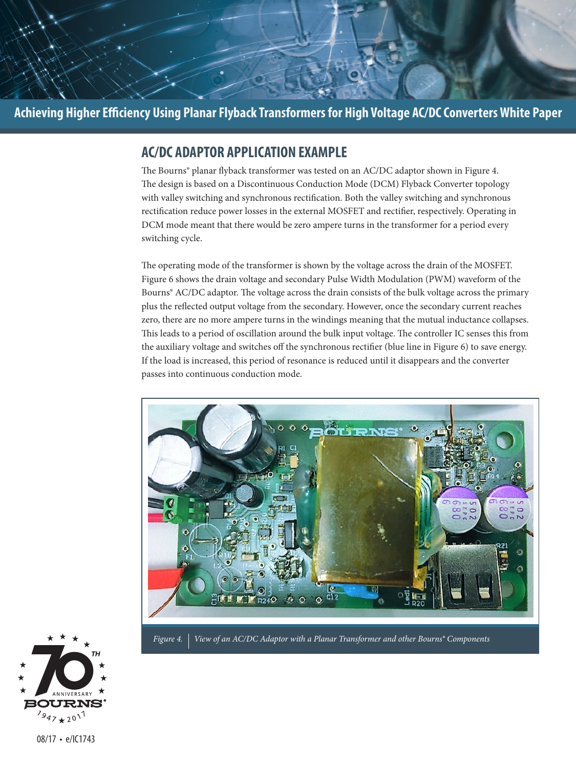

## **AC/DC ADAPTOR APPLICATION EXAMPLE**

The Bourns® planar flyback transformer was tested on an AC/DC adaptor shown in Figure 4. The design is based on a Discontinuous Conduction Mode (DCM) Flyback Converter topology with valley switching and synchronous rectification. Both the valley switching and synchronous rectification reduce power losses in the external MOSFET and rectifier, respectively. Operating in DCM mode meant that there would be zero ampere turns in the transformer for a period every switching cycle.

The operating mode of the transformer is shown by the voltage across the drain of the MOSFET. Figure 6 shows the drain voltage and secondary Pulse Width Modulation (PWM) waveform of the Bourns® AC/DC adaptor. The voltage across the drain consists of the bulk voltage across the primary plus the reflected output voltage from the secondary. However, once the secondary current reaches zero, there are no more ampere turns in the windings meaning that the mutual inductance collapses. This leads to a period of oscillation around the bulk input voltage. The controller IC senses this from the auxiliary voltage and switches off the synchronous rectifier (blue line in Figure 6) to save energy. If the load is increased, this period of resonance is reduced until it disappears and the converter passes into continuous conduction mode.





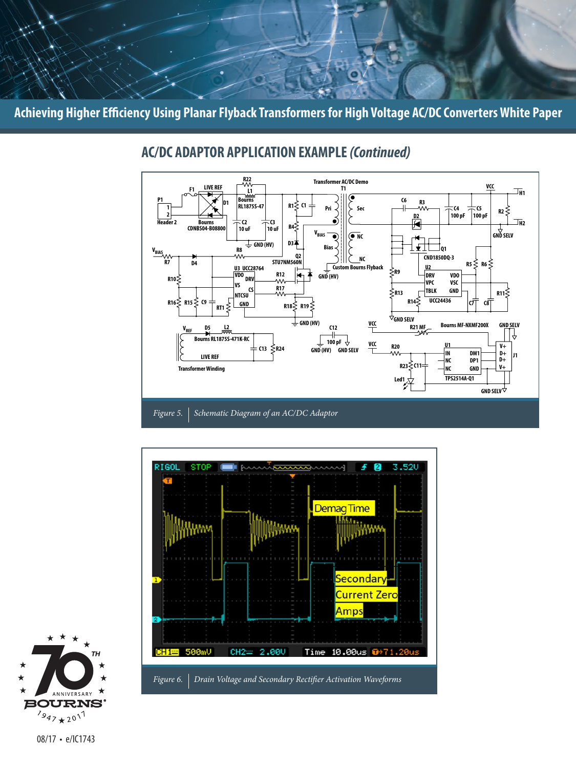

# **AC/DC ADAPTOR APPLICATION EXAMPLE** *(Continued)*

*Figure 5. Schematic Diagram of an AC/DC Adaptor*



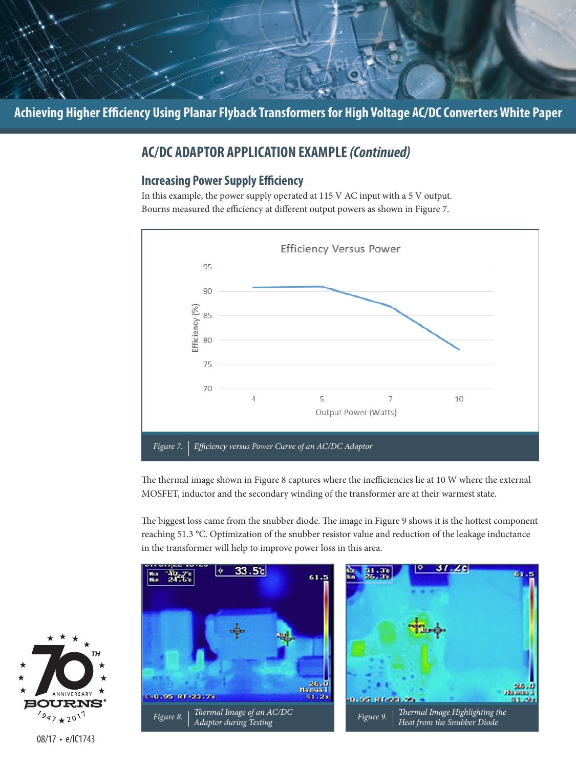

# **AC/DC ADAPTOR APPLICATION EXAMPLE** *(Continued)*

#### **Increasing Power Supply Efficiency**

In this example, the power supply operated at 115 V AC input with a 5 V output. Bourns measured the efficiency at different output powers as shown in Figure 7.



The thermal image shown in Figure 8 captures where the inefficiencies lie at 10 W where the external MOSFET, inductor and the secondary winding of the transformer are at their warmest state.

The biggest loss came from the snubber diode. The image in Figure 9 shows it is the hottest component reaching 51.3 °C. Optimization of the snubber resistor value and reduction of the leakage inductance in the transformer will help to improve power loss in this area.



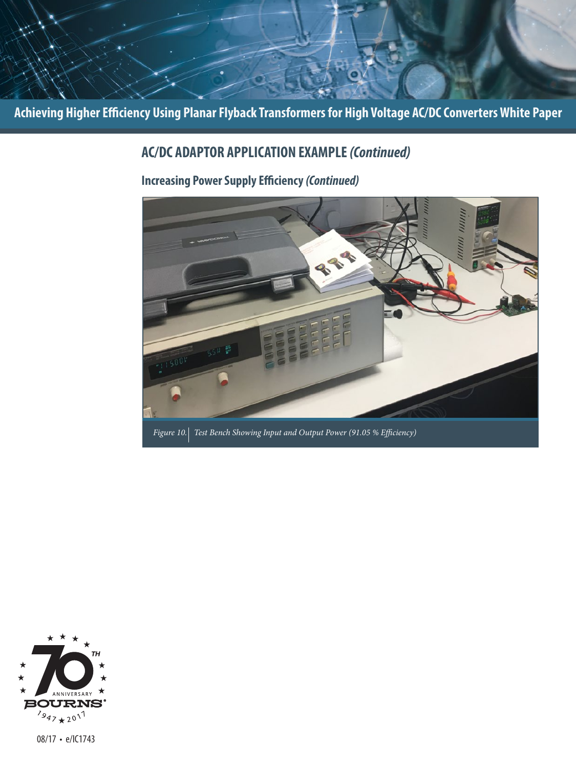# **AC/DC ADAPTOR APPLICATION EXAMPLE** *(Continued)*

# **Increasing Power Supply Efficiency** *(Continued)*



*Figure 10. Test Bench Showing Input and Output Power (91.05 % Efficiency)*